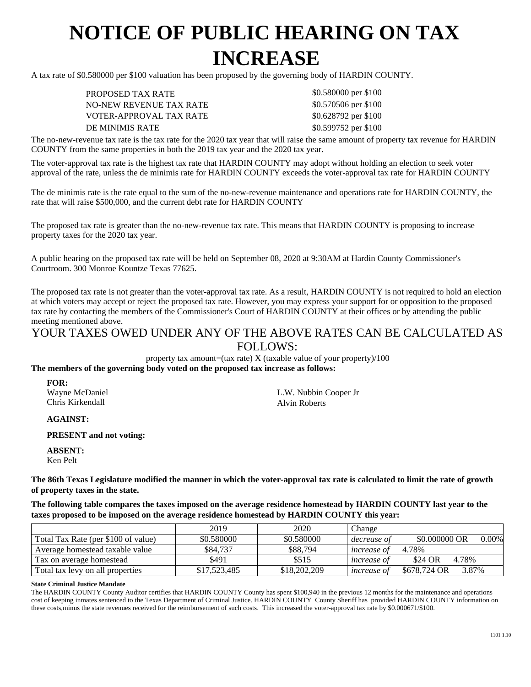## **NOTICE OF PUBLIC HEARING ON TAX INCREASE**

A tax rate of \$0.580000 per \$100 valuation has been proposed by the governing body of HARDIN COUNTY.

PROPOSED TAX RATE NO-NEW REVENUE TAX RATE VOTER-APPROVAL TAX RATE DE MINIMIS RATE \$0.599752 per \$100

\$0.580000 per \$100 \$0.570506 per \$100 \$0.628792 per \$100

The no-new-revenue tax rate is the tax rate for the 2020 tax year that will raise the same amount of property tax revenue for HARDIN COUNTY from the same properties in both the 2019 tax year and the 2020 tax year.

The voter-approval tax rate is the highest tax rate that HARDIN COUNTY may adopt without holding an election to seek voter approval of the rate, unless the de minimis rate for HARDIN COUNTY exceeds the voter-approval tax rate for HARDIN COUNTY

The de minimis rate is the rate equal to the sum of the no-new-revenue maintenance and operations rate for HARDIN COUNTY, the rate that will raise \$500,000, and the current debt rate for HARDIN COUNTY

The proposed tax rate is greater than the no-new-revenue tax rate. This means that HARDIN COUNTY is proposing to increase property taxes for the 2020 tax year.

A public hearing on the proposed tax rate will be held on September 08, 2020 at 9:30AM at Hardin County Commissioner's Courtroom. 300 Monroe Kountze Texas 77625.

The proposed tax rate is not greater than the voter-approval tax rate. As a result, HARDIN COUNTY is not required to hold an election at which voters may accept or reject the proposed tax rate. However, you may express your support for or opposition to the proposed tax rate by contacting the members of the Commissioner's Court of HARDIN COUNTY at their offices or by attending the public meeting mentioned above.

## YOUR TAXES OWED UNDER ANY OF THE ABOVE RATES CAN BE CALCULATED AS FOLLOWS:

property tax amount=(tax rate)  $X$  (taxable value of your property)/100 **The members of the governing body voted on the proposed tax increase as follows:**

**FOR:** Wayne McDaniel Chris Kirkendall

L.W. Nubbin Cooper Jr Alvin Roberts

**AGAINST:**

**PRESENT and not voting:**

**ABSENT:** Ken Pelt

**The 86th Texas Legislature modified the manner in which the voter-approval tax rate is calculated to limit the rate of growth of property taxes in the state.**

**The following table compares the taxes imposed on the average residence homestead by HARDIN COUNTY last year to the taxes proposed to be imposed on the average residence homestead by HARDIN COUNTY this year:**

|                                     | 2019         | 2020         | Change             |                           |
|-------------------------------------|--------------|--------------|--------------------|---------------------------|
| Total Tax Rate (per \$100 of value) | \$0.580000   | \$0.580000   | decrease of        | \$0,000000 OR<br>$0.00\%$ |
| Average homestead taxable value     | \$84,737     | \$88,794     | <i>increase of</i> | 4.78%                     |
| Tax on average homestead            | \$491        | \$515        | <i>increase of</i> | \$24 OR<br>4.78%          |
| Total tax levy on all properties    | \$17,523,485 | \$18,202,209 | <i>increase of</i> | \$678,724 OR<br>3.87%     |

## **State Criminal Justice Mandate**

The HARDIN COUNTY County Auditor certifies that HARDIN COUNTY County has spent \$100,940 in the previous 12 months for the maintenance and operations cost of keeping inmates sentenced to the Texas Department of Criminal Justice. HARDIN COUNTY County Sheriff has provided HARDIN COUNTY information on these costs,minus the state revenues received for the reimbursement of such costs. This increased the voter-approval tax rate by \$0.000671/\$100.